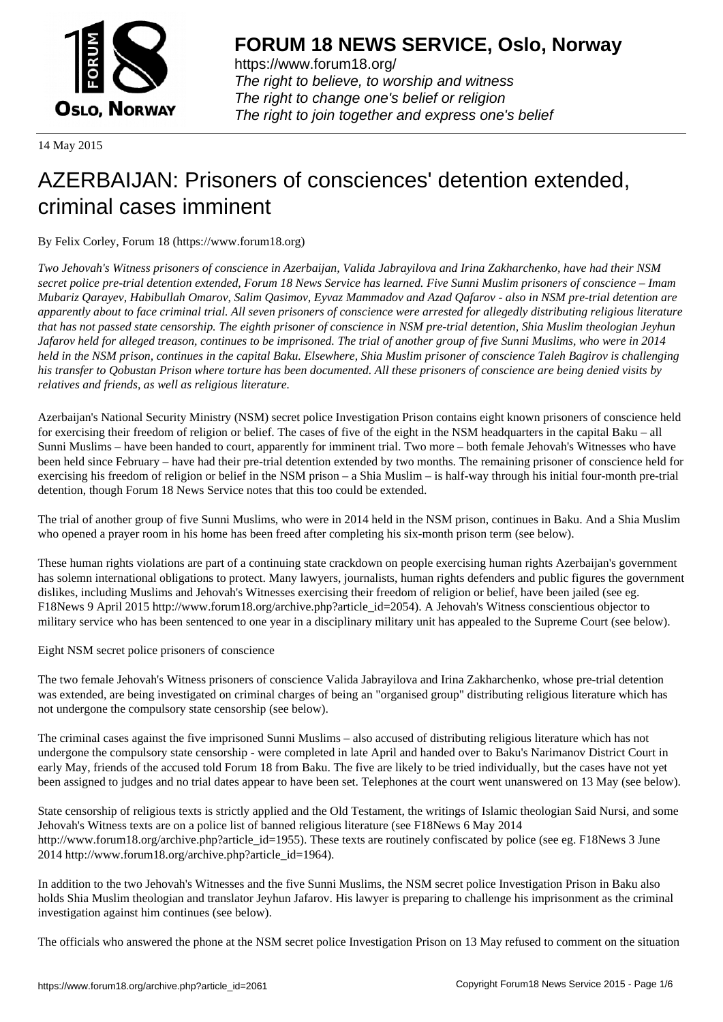

https://www.forum18.org/ The right to believe, to worship and witness The right to change one's belief or religion [The right to join together a](https://www.forum18.org/)nd express one's belief

14 May 2015

# [AZERBAIJAN: P](https://www.forum18.org)risoners of consciences' detention extended, criminal cases imminent

By Felix Corley, Forum 18 (https://www.forum18.org)

*Two Jehovah's Witness prisoners of conscience in Azerbaijan, Valida Jabrayilova and Irina Zakharchenko, have had their NSM secret police pre-trial detention extended, Forum 18 News Service has learned. Five Sunni Muslim prisoners of conscience – Imam Mubariz Qarayev, Habibullah Omarov, Salim Qasimov, Eyvaz Mammadov and Azad Qafarov - also in NSM pre-trial detention are apparently about to face criminal trial. All seven prisoners of conscience were arrested for allegedly distributing religious literature that has not passed state censorship. The eighth prisoner of conscience in NSM pre-trial detention, Shia Muslim theologian Jeyhun Jafarov held for alleged treason, continues to be imprisoned. The trial of another group of five Sunni Muslims, who were in 2014 held in the NSM prison, continues in the capital Baku. Elsewhere, Shia Muslim prisoner of conscience Taleh Bagirov is challenging his transfer to Qobustan Prison where torture has been documented. All these prisoners of conscience are being denied visits by relatives and friends, as well as religious literature.*

Azerbaijan's National Security Ministry (NSM) secret police Investigation Prison contains eight known prisoners of conscience held for exercising their freedom of religion or belief. The cases of five of the eight in the NSM headquarters in the capital Baku – all Sunni Muslims – have been handed to court, apparently for imminent trial. Two more – both female Jehovah's Witnesses who have been held since February – have had their pre-trial detention extended by two months. The remaining prisoner of conscience held for exercising his freedom of religion or belief in the NSM prison – a Shia Muslim – is half-way through his initial four-month pre-trial detention, though Forum 18 News Service notes that this too could be extended.

The trial of another group of five Sunni Muslims, who were in 2014 held in the NSM prison, continues in Baku. And a Shia Muslim who opened a prayer room in his home has been freed after completing his six-month prison term (see below).

These human rights violations are part of a continuing state crackdown on people exercising human rights Azerbaijan's government has solemn international obligations to protect. Many lawyers, journalists, human rights defenders and public figures the government dislikes, including Muslims and Jehovah's Witnesses exercising their freedom of religion or belief, have been jailed (see eg. F18News 9 April 2015 http://www.forum18.org/archive.php?article\_id=2054). A Jehovah's Witness conscientious objector to military service who has been sentenced to one year in a disciplinary military unit has appealed to the Supreme Court (see below).

Eight NSM secret police prisoners of conscience

The two female Jehovah's Witness prisoners of conscience Valida Jabrayilova and Irina Zakharchenko, whose pre-trial detention was extended, are being investigated on criminal charges of being an "organised group" distributing religious literature which has not undergone the compulsory state censorship (see below).

The criminal cases against the five imprisoned Sunni Muslims – also accused of distributing religious literature which has not undergone the compulsory state censorship - were completed in late April and handed over to Baku's Narimanov District Court in early May, friends of the accused told Forum 18 from Baku. The five are likely to be tried individually, but the cases have not yet been assigned to judges and no trial dates appear to have been set. Telephones at the court went unanswered on 13 May (see below).

State censorship of religious texts is strictly applied and the Old Testament, the writings of Islamic theologian Said Nursi, and some Jehovah's Witness texts are on a police list of banned religious literature (see F18News 6 May 2014 http://www.forum18.org/archive.php?article\_id=1955). These texts are routinely confiscated by police (see eg. F18News 3 June 2014 http://www.forum18.org/archive.php?article\_id=1964).

In addition to the two Jehovah's Witnesses and the five Sunni Muslims, the NSM secret police Investigation Prison in Baku also holds Shia Muslim theologian and translator Jeyhun Jafarov. His lawyer is preparing to challenge his imprisonment as the criminal investigation against him continues (see below).

The officials who answered the phone at the NSM secret police Investigation Prison on 13 May refused to comment on the situation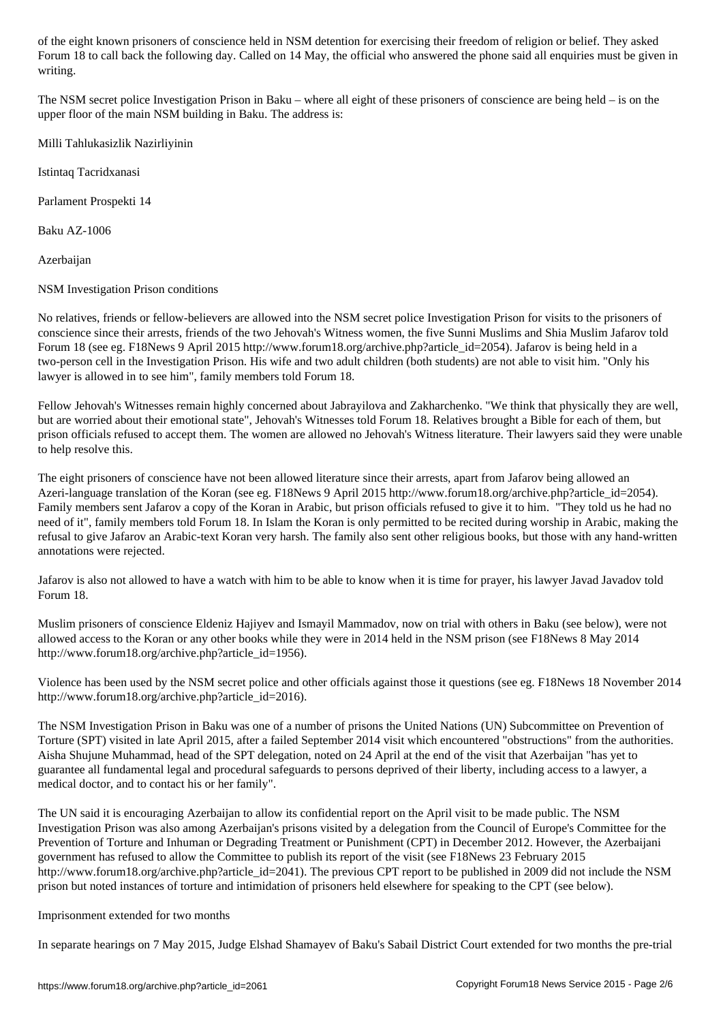Forum 18 to call back the following day. Called on 14 May, the official who answered the phone said all enquiries must be given in writing.

The NSM secret police Investigation Prison in Baku – where all eight of these prisoners of conscience are being held – is on the upper floor of the main NSM building in Baku. The address is:

Milli Tahlukasizlik Nazirliyinin

Istintaq Tacridxanasi

Parlament Prospekti 14

Baku AZ-1006

Azerbaijan

NSM Investigation Prison conditions

No relatives, friends or fellow-believers are allowed into the NSM secret police Investigation Prison for visits to the prisoners of conscience since their arrests, friends of the two Jehovah's Witness women, the five Sunni Muslims and Shia Muslim Jafarov told Forum 18 (see eg. F18News 9 April 2015 http://www.forum18.org/archive.php?article\_id=2054). Jafarov is being held in a two-person cell in the Investigation Prison. His wife and two adult children (both students) are not able to visit him. "Only his lawyer is allowed in to see him", family members told Forum 18.

Fellow Jehovah's Witnesses remain highly concerned about Jabrayilova and Zakharchenko. "We think that physically they are well, but are worried about their emotional state", Jehovah's Witnesses told Forum 18. Relatives brought a Bible for each of them, but prison officials refused to accept them. The women are allowed no Jehovah's Witness literature. Their lawyers said they were unable to help resolve this.

The eight prisoners of conscience have not been allowed literature since their arrests, apart from Jafarov being allowed an Azeri-language translation of the Koran (see eg. F18News 9 April 2015 http://www.forum18.org/archive.php?article\_id=2054). Family members sent Jafarov a copy of the Koran in Arabic, but prison officials refused to give it to him. "They told us he had no need of it", family members told Forum 18. In Islam the Koran is only permitted to be recited during worship in Arabic, making the refusal to give Jafarov an Arabic-text Koran very harsh. The family also sent other religious books, but those with any hand-written annotations were rejected.

Jafarov is also not allowed to have a watch with him to be able to know when it is time for prayer, his lawyer Javad Javadov told Forum 18.

Muslim prisoners of conscience Eldeniz Hajiyev and Ismayil Mammadov, now on trial with others in Baku (see below), were not allowed access to the Koran or any other books while they were in 2014 held in the NSM prison (see F18News 8 May 2014 http://www.forum18.org/archive.php?article\_id=1956).

Violence has been used by the NSM secret police and other officials against those it questions (see eg. F18News 18 November 2014 http://www.forum18.org/archive.php?article\_id=2016).

The NSM Investigation Prison in Baku was one of a number of prisons the United Nations (UN) Subcommittee on Prevention of Torture (SPT) visited in late April 2015, after a failed September 2014 visit which encountered "obstructions" from the authorities. Aisha Shujune Muhammad, head of the SPT delegation, noted on 24 April at the end of the visit that Azerbaijan "has yet to guarantee all fundamental legal and procedural safeguards to persons deprived of their liberty, including access to a lawyer, a medical doctor, and to contact his or her family".

The UN said it is encouraging Azerbaijan to allow its confidential report on the April visit to be made public. The NSM Investigation Prison was also among Azerbaijan's prisons visited by a delegation from the Council of Europe's Committee for the Prevention of Torture and Inhuman or Degrading Treatment or Punishment (CPT) in December 2012. However, the Azerbaijani government has refused to allow the Committee to publish its report of the visit (see F18News 23 February 2015 http://www.forum18.org/archive.php?article\_id=2041). The previous CPT report to be published in 2009 did not include the NSM prison but noted instances of torture and intimidation of prisoners held elsewhere for speaking to the CPT (see below).

### Imprisonment extended for two months

In separate hearings on 7 May 2015, Judge Elshad Shamayev of Baku's Sabail District Court extended for two months the pre-trial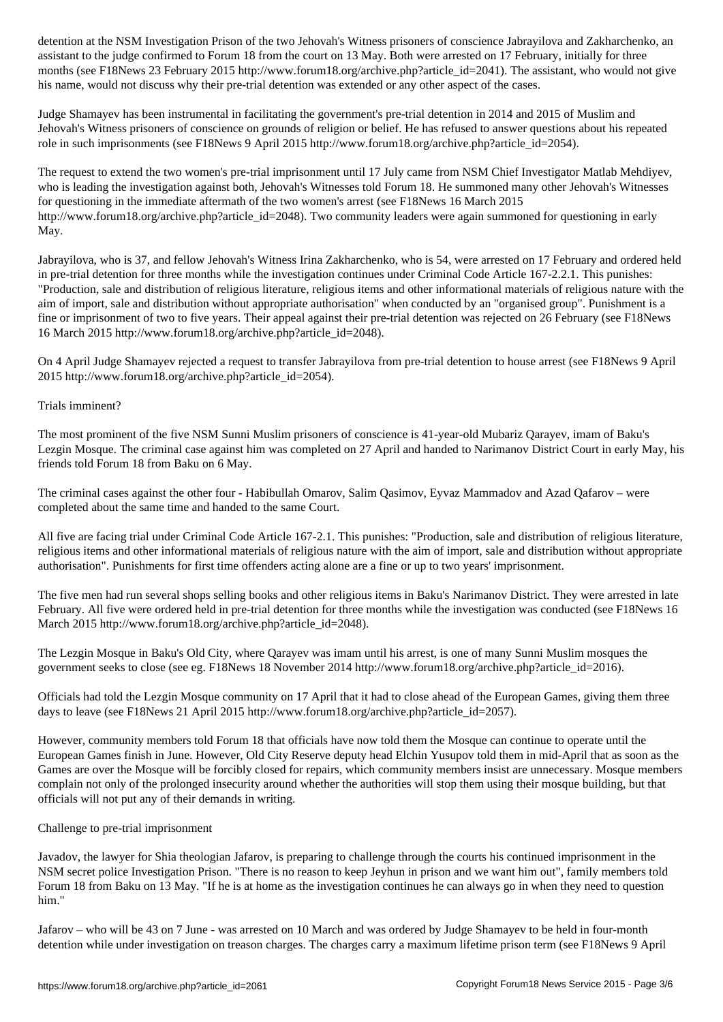assistant to the judge confirmed to Forum 18 from the court on 13 May. Both were arrested on 17 February, initially for three months (see F18News 23 February 2015 http://www.forum18.org/archive.php?article\_id=2041). The assistant, who would not give his name, would not discuss why their pre-trial detention was extended or any other aspect of the cases.

Judge Shamayev has been instrumental in facilitating the government's pre-trial detention in 2014 and 2015 of Muslim and Jehovah's Witness prisoners of conscience on grounds of religion or belief. He has refused to answer questions about his repeated role in such imprisonments (see F18News 9 April 2015 http://www.forum18.org/archive.php?article\_id=2054).

The request to extend the two women's pre-trial imprisonment until 17 July came from NSM Chief Investigator Matlab Mehdiyev, who is leading the investigation against both, Jehovah's Witnesses told Forum 18. He summoned many other Jehovah's Witnesses for questioning in the immediate aftermath of the two women's arrest (see F18News 16 March 2015 http://www.forum18.org/archive.php?article\_id=2048). Two community leaders were again summoned for questioning in early May.

Jabrayilova, who is 37, and fellow Jehovah's Witness Irina Zakharchenko, who is 54, were arrested on 17 February and ordered held in pre-trial detention for three months while the investigation continues under Criminal Code Article 167-2.2.1. This punishes: "Production, sale and distribution of religious literature, religious items and other informational materials of religious nature with the aim of import, sale and distribution without appropriate authorisation" when conducted by an "organised group". Punishment is a fine or imprisonment of two to five years. Their appeal against their pre-trial detention was rejected on 26 February (see F18News 16 March 2015 http://www.forum18.org/archive.php?article\_id=2048).

On 4 April Judge Shamayev rejected a request to transfer Jabrayilova from pre-trial detention to house arrest (see F18News 9 April 2015 http://www.forum18.org/archive.php?article\_id=2054).

# Trials imminent?

The most prominent of the five NSM Sunni Muslim prisoners of conscience is 41-year-old Mubariz Qarayev, imam of Baku's Lezgin Mosque. The criminal case against him was completed on 27 April and handed to Narimanov District Court in early May, his friends told Forum 18 from Baku on 6 May.

The criminal cases against the other four - Habibullah Omarov, Salim Qasimov, Eyvaz Mammadov and Azad Qafarov – were completed about the same time and handed to the same Court.

All five are facing trial under Criminal Code Article 167-2.1. This punishes: "Production, sale and distribution of religious literature, religious items and other informational materials of religious nature with the aim of import, sale and distribution without appropriate authorisation". Punishments for first time offenders acting alone are a fine or up to two years' imprisonment.

The five men had run several shops selling books and other religious items in Baku's Narimanov District. They were arrested in late February. All five were ordered held in pre-trial detention for three months while the investigation was conducted (see F18News 16 March 2015 http://www.forum18.org/archive.php?article\_id=2048).

The Lezgin Mosque in Baku's Old City, where Qarayev was imam until his arrest, is one of many Sunni Muslim mosques the government seeks to close (see eg. F18News 18 November 2014 http://www.forum18.org/archive.php?article\_id=2016).

Officials had told the Lezgin Mosque community on 17 April that it had to close ahead of the European Games, giving them three days to leave (see F18News 21 April 2015 http://www.forum18.org/archive.php?article\_id=2057).

However, community members told Forum 18 that officials have now told them the Mosque can continue to operate until the European Games finish in June. However, Old City Reserve deputy head Elchin Yusupov told them in mid-April that as soon as the Games are over the Mosque will be forcibly closed for repairs, which community members insist are unnecessary. Mosque members complain not only of the prolonged insecurity around whether the authorities will stop them using their mosque building, but that officials will not put any of their demands in writing.

### Challenge to pre-trial imprisonment

Javadov, the lawyer for Shia theologian Jafarov, is preparing to challenge through the courts his continued imprisonment in the NSM secret police Investigation Prison. "There is no reason to keep Jeyhun in prison and we want him out", family members told Forum 18 from Baku on 13 May. "If he is at home as the investigation continues he can always go in when they need to question him."

Jafarov – who will be 43 on 7 June - was arrested on 10 March and was ordered by Judge Shamayev to be held in four-month detention while under investigation on treason charges. The charges carry a maximum lifetime prison term (see F18News 9 April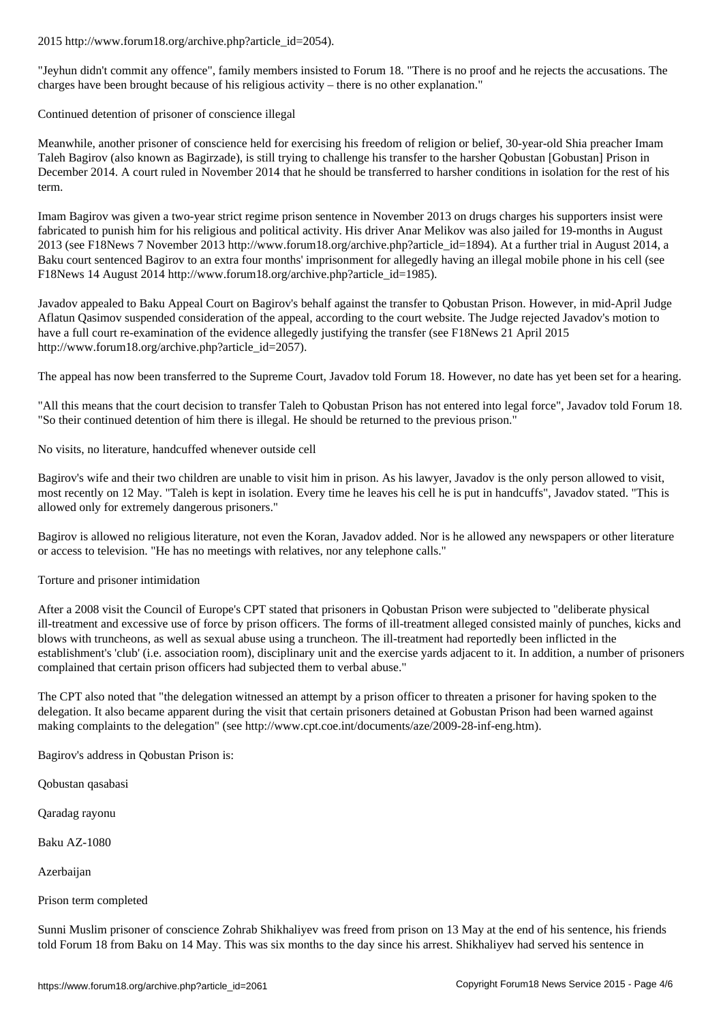"Jeyhun didn't commit any offence", family members insisted to Forum 18. "There is no proof and he rejects the accusations. The charges have been brought because of his religious activity – there is no other explanation."

Continued detention of prisoner of conscience illegal

Meanwhile, another prisoner of conscience held for exercising his freedom of religion or belief, 30-year-old Shia preacher Imam Taleh Bagirov (also known as Bagirzade), is still trying to challenge his transfer to the harsher Qobustan [Gobustan] Prison in December 2014. A court ruled in November 2014 that he should be transferred to harsher conditions in isolation for the rest of his term.

Imam Bagirov was given a two-year strict regime prison sentence in November 2013 on drugs charges his supporters insist were fabricated to punish him for his religious and political activity. His driver Anar Melikov was also jailed for 19-months in August 2013 (see F18News 7 November 2013 http://www.forum18.org/archive.php?article\_id=1894). At a further trial in August 2014, a Baku court sentenced Bagirov to an extra four months' imprisonment for allegedly having an illegal mobile phone in his cell (see F18News 14 August 2014 http://www.forum18.org/archive.php?article\_id=1985).

Javadov appealed to Baku Appeal Court on Bagirov's behalf against the transfer to Qobustan Prison. However, in mid-April Judge Aflatun Qasimov suspended consideration of the appeal, according to the court website. The Judge rejected Javadov's motion to have a full court re-examination of the evidence allegedly justifying the transfer (see F18News 21 April 2015 http://www.forum18.org/archive.php?article\_id=2057).

The appeal has now been transferred to the Supreme Court, Javadov told Forum 18. However, no date has yet been set for a hearing.

"All this means that the court decision to transfer Taleh to Qobustan Prison has not entered into legal force", Javadov told Forum 18. "So their continued detention of him there is illegal. He should be returned to the previous prison."

No visits, no literature, handcuffed whenever outside cell

Bagirov's wife and their two children are unable to visit him in prison. As his lawyer, Javadov is the only person allowed to visit, most recently on 12 May. "Taleh is kept in isolation. Every time he leaves his cell he is put in handcuffs", Javadov stated. "This is allowed only for extremely dangerous prisoners."

Bagirov is allowed no religious literature, not even the Koran, Javadov added. Nor is he allowed any newspapers or other literature or access to television. "He has no meetings with relatives, nor any telephone calls."

Torture and prisoner intimidation

After a 2008 visit the Council of Europe's CPT stated that prisoners in Qobustan Prison were subjected to "deliberate physical ill-treatment and excessive use of force by prison officers. The forms of ill-treatment alleged consisted mainly of punches, kicks and blows with truncheons, as well as sexual abuse using a truncheon. The ill-treatment had reportedly been inflicted in the establishment's 'club' (i.e. association room), disciplinary unit and the exercise yards adjacent to it. In addition, a number of prisoners complained that certain prison officers had subjected them to verbal abuse."

The CPT also noted that "the delegation witnessed an attempt by a prison officer to threaten a prisoner for having spoken to the delegation. It also became apparent during the visit that certain prisoners detained at Gobustan Prison had been warned against making complaints to the delegation" (see http://www.cpt.coe.int/documents/aze/2009-28-inf-eng.htm).

Bagirov's address in Qobustan Prison is:

Qobustan qasabasi

Qaradag rayonu

Baku AZ-1080

Azerbaijan

Prison term completed

Sunni Muslim prisoner of conscience Zohrab Shikhaliyev was freed from prison on 13 May at the end of his sentence, his friends told Forum 18 from Baku on 14 May. This was six months to the day since his arrest. Shikhaliyev had served his sentence in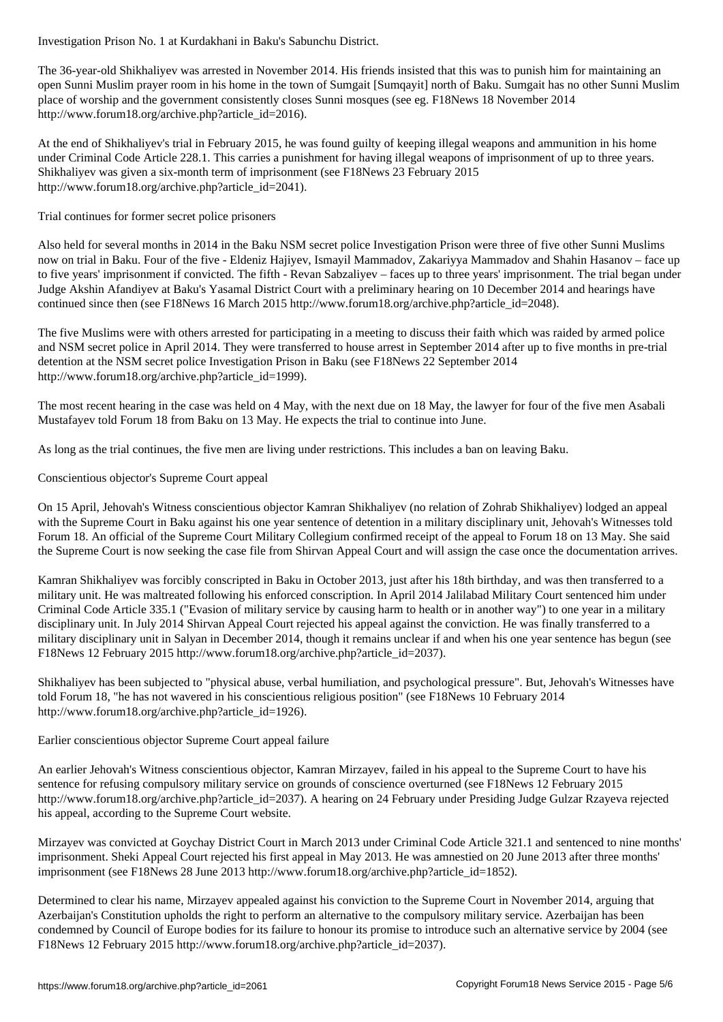The 36-year-old Shikhaliyev was arrested in November 2014. His friends insisted that this was to punish him for maintaining an open Sunni Muslim prayer room in his home in the town of Sumgait [Sumqayit] north of Baku. Sumgait has no other Sunni Muslim place of worship and the government consistently closes Sunni mosques (see eg. F18News 18 November 2014 http://www.forum18.org/archive.php?article\_id=2016).

At the end of Shikhaliyev's trial in February 2015, he was found guilty of keeping illegal weapons and ammunition in his home under Criminal Code Article 228.1. This carries a punishment for having illegal weapons of imprisonment of up to three years. Shikhaliyev was given a six-month term of imprisonment (see F18News 23 February 2015 http://www.forum18.org/archive.php?article\_id=2041).

Trial continues for former secret police prisoners

Also held for several months in 2014 in the Baku NSM secret police Investigation Prison were three of five other Sunni Muslims now on trial in Baku. Four of the five - Eldeniz Hajiyev, Ismayil Mammadov, Zakariyya Mammadov and Shahin Hasanov – face up to five years' imprisonment if convicted. The fifth - Revan Sabzaliyev – faces up to three years' imprisonment. The trial began under Judge Akshin Afandiyev at Baku's Yasamal District Court with a preliminary hearing on 10 December 2014 and hearings have continued since then (see F18News 16 March 2015 http://www.forum18.org/archive.php?article\_id=2048).

The five Muslims were with others arrested for participating in a meeting to discuss their faith which was raided by armed police and NSM secret police in April 2014. They were transferred to house arrest in September 2014 after up to five months in pre-trial detention at the NSM secret police Investigation Prison in Baku (see F18News 22 September 2014 http://www.forum18.org/archive.php?article\_id=1999).

The most recent hearing in the case was held on 4 May, with the next due on 18 May, the lawyer for four of the five men Asabali Mustafayev told Forum 18 from Baku on 13 May. He expects the trial to continue into June.

As long as the trial continues, the five men are living under restrictions. This includes a ban on leaving Baku.

Conscientious objector's Supreme Court appeal

On 15 April, Jehovah's Witness conscientious objector Kamran Shikhaliyev (no relation of Zohrab Shikhaliyev) lodged an appeal with the Supreme Court in Baku against his one year sentence of detention in a military disciplinary unit, Jehovah's Witnesses told Forum 18. An official of the Supreme Court Military Collegium confirmed receipt of the appeal to Forum 18 on 13 May. She said the Supreme Court is now seeking the case file from Shirvan Appeal Court and will assign the case once the documentation arrives.

Kamran Shikhaliyev was forcibly conscripted in Baku in October 2013, just after his 18th birthday, and was then transferred to a military unit. He was maltreated following his enforced conscription. In April 2014 Jalilabad Military Court sentenced him under Criminal Code Article 335.1 ("Evasion of military service by causing harm to health or in another way") to one year in a military disciplinary unit. In July 2014 Shirvan Appeal Court rejected his appeal against the conviction. He was finally transferred to a military disciplinary unit in Salyan in December 2014, though it remains unclear if and when his one year sentence has begun (see F18News 12 February 2015 http://www.forum18.org/archive.php?article\_id=2037).

Shikhaliyev has been subjected to "physical abuse, verbal humiliation, and psychological pressure". But, Jehovah's Witnesses have told Forum 18, "he has not wavered in his conscientious religious position" (see F18News 10 February 2014 http://www.forum18.org/archive.php?article\_id=1926).

# Earlier conscientious objector Supreme Court appeal failure

An earlier Jehovah's Witness conscientious objector, Kamran Mirzayev, failed in his appeal to the Supreme Court to have his sentence for refusing compulsory military service on grounds of conscience overturned (see F18News 12 February 2015 http://www.forum18.org/archive.php?article\_id=2037). A hearing on 24 February under Presiding Judge Gulzar Rzayeva rejected his appeal, according to the Supreme Court website.

Mirzayev was convicted at Goychay District Court in March 2013 under Criminal Code Article 321.1 and sentenced to nine months' imprisonment. Sheki Appeal Court rejected his first appeal in May 2013. He was amnestied on 20 June 2013 after three months' imprisonment (see F18News 28 June 2013 http://www.forum18.org/archive.php?article\_id=1852).

Determined to clear his name, Mirzayev appealed against his conviction to the Supreme Court in November 2014, arguing that Azerbaijan's Constitution upholds the right to perform an alternative to the compulsory military service. Azerbaijan has been condemned by Council of Europe bodies for its failure to honour its promise to introduce such an alternative service by 2004 (see F18News 12 February 2015 http://www.forum18.org/archive.php?article\_id=2037).